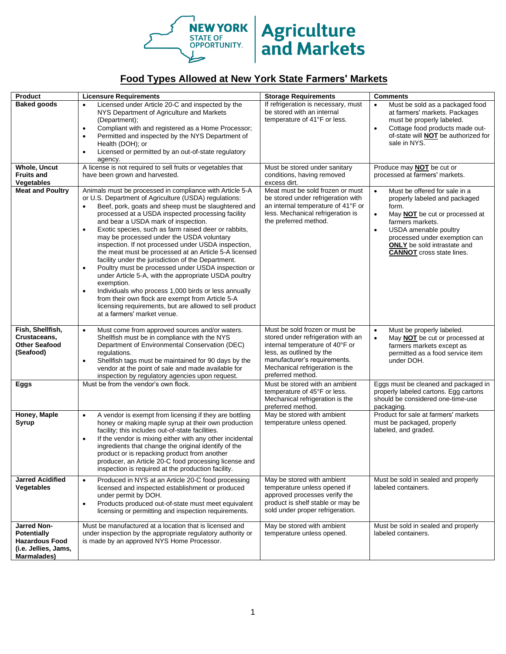

## **NEW YORK Agriculture**

## **Food Types Allowed at New York State Farmers' Markets**

| Product                                                                                                  | <b>Licensure Requirements</b>                                                                                                                                                                                                                                                                                                                                                                                                                                                                                                                                                                                                                                                                                                                                                                                                                                                                                                         | <b>Storage Requirements</b>                                                                                                                                                                                                 | <b>Comments</b>                                                                                                                                                                                                                                                                                                 |
|----------------------------------------------------------------------------------------------------------|---------------------------------------------------------------------------------------------------------------------------------------------------------------------------------------------------------------------------------------------------------------------------------------------------------------------------------------------------------------------------------------------------------------------------------------------------------------------------------------------------------------------------------------------------------------------------------------------------------------------------------------------------------------------------------------------------------------------------------------------------------------------------------------------------------------------------------------------------------------------------------------------------------------------------------------|-----------------------------------------------------------------------------------------------------------------------------------------------------------------------------------------------------------------------------|-----------------------------------------------------------------------------------------------------------------------------------------------------------------------------------------------------------------------------------------------------------------------------------------------------------------|
| <b>Baked goods</b>                                                                                       | Licensed under Article 20-C and inspected by the<br>$\bullet$<br>NYS Department of Agriculture and Markets<br>(Department);<br>Compliant with and registered as a Home Processor;<br>$\bullet$<br>Permitted and inspected by the NYS Department of<br>$\bullet$<br>Health (DOH); or<br>Licensed or permitted by an out-of-state regulatory<br>$\bullet$<br>agency.                                                                                                                                                                                                                                                                                                                                                                                                                                                                                                                                                                    | If refrigeration is necessary, must<br>be stored with an internal<br>temperature of 41°F or less.                                                                                                                           | Must be sold as a packaged food<br>$\bullet$<br>at farmers' markets. Packages<br>must be properly labeled.<br>Cottage food products made out-<br>$\bullet$<br>of-state will <b>NOT</b> be authorized for<br>sale in NYS.                                                                                        |
| <b>Whole, Uncut</b>                                                                                      | A license is not required to sell fruits or vegetables that                                                                                                                                                                                                                                                                                                                                                                                                                                                                                                                                                                                                                                                                                                                                                                                                                                                                           | Must be stored under sanitary                                                                                                                                                                                               | Produce may <b>NOT</b> be cut or                                                                                                                                                                                                                                                                                |
| <b>Fruits and</b><br>Vegetables                                                                          | have been grown and harvested.                                                                                                                                                                                                                                                                                                                                                                                                                                                                                                                                                                                                                                                                                                                                                                                                                                                                                                        | conditions, having removed<br>excess dirt.                                                                                                                                                                                  | processed at farmers' markets.                                                                                                                                                                                                                                                                                  |
| <b>Meat and Poultry</b>                                                                                  | Animals must be processed in compliance with Article 5-A<br>or U.S. Department of Agriculture (USDA) regulations:<br>Beef, pork, goats and sheep must be slaughtered and<br>$\bullet$<br>processed at a USDA inspected processing facility<br>and bear a USDA mark of inspection.<br>Exotic species, such as farm raised deer or rabbits,<br>$\bullet$<br>may be processed under the USDA voluntary<br>inspection. If not processed under USDA inspection,<br>the meat must be processed at an Article 5-A licensed<br>facility under the jurisdiction of the Department.<br>Poultry must be processed under USDA inspection or<br>$\bullet$<br>under Article 5-A, with the appropriate USDA poultry<br>exemption.<br>Individuals who process 1,000 birds or less annually<br>$\bullet$<br>from their own flock are exempt from Article 5-A<br>licensing requirements, but are allowed to sell product<br>at a farmers' market venue. | Meat must be sold frozen or must<br>be stored under refrigeration with<br>an internal temperature of 41°F or<br>less. Mechanical refrigeration is<br>the preferred method.                                                  | Must be offered for sale in a<br>$\bullet$<br>properly labeled and packaged<br>form.<br>May <b>NOT</b> be cut or processed at<br>$\bullet$<br>farmers markets.<br>USDA amenable poultry<br>$\bullet$<br>processed under exemption can<br><b>ONLY</b> be sold intrastate and<br><b>CANNOT</b> cross state lines. |
| Fish, Shellfish,<br>Crustaceans,<br><b>Other Seafood</b><br>(Seafood)                                    | Must come from approved sources and/or waters.<br>$\bullet$<br>Shellfish must be in compliance with the NYS<br>Department of Environmental Conservation (DEC)<br>regulations.<br>Shellfish tags must be maintained for 90 days by the<br>$\bullet$<br>vendor at the point of sale and made available for<br>inspection by regulatory agencies upon request.                                                                                                                                                                                                                                                                                                                                                                                                                                                                                                                                                                           | Must be sold frozen or must be<br>stored under refrigeration with an<br>internal temperature of 40°F or<br>less, as outlined by the<br>manufacturer's requirements.<br>Mechanical refrigeration is the<br>preferred method. | Must be properly labeled.<br>$\bullet$<br>May <b>NOT</b> be cut or processed at<br>$\bullet$<br>farmers markets except as<br>permitted as a food service item<br>under DOH.                                                                                                                                     |
| Eggs                                                                                                     | Must be from the vendor's own flock.                                                                                                                                                                                                                                                                                                                                                                                                                                                                                                                                                                                                                                                                                                                                                                                                                                                                                                  | Must be stored with an ambient<br>temperature of 45°F or less.<br>Mechanical refrigeration is the<br>preferred method.                                                                                                      | Eggs must be cleaned and packaged in<br>properly labeled cartons. Egg cartons<br>should be considered one-time-use<br>packaging.                                                                                                                                                                                |
| Honey, Maple<br><b>Syrup</b>                                                                             | A vendor is exempt from licensing if they are bottling<br>$\bullet$<br>honey or making maple syrup at their own production<br>facility; this includes out-of-state facilities.<br>If the vendor is mixing either with any other incidental<br>$\bullet$<br>ingredients that change the original identify of the<br>product or is repacking product from another<br>producer, an Article 20-C food processing license and<br>inspection is required at the production facility.                                                                                                                                                                                                                                                                                                                                                                                                                                                        | May be stored with ambient<br>temperature unless opened.                                                                                                                                                                    | Product for sale at farmers' markets<br>must be packaged, properly<br>labeled, and graded.                                                                                                                                                                                                                      |
| <b>Jarred Acidified</b><br><b>Vegetables</b>                                                             | Produced in NYS at an Article 20-C food processing<br>$\bullet$<br>licensed and inspected establishment or produced<br>under permit by DOH.<br>Products produced out-of-state must meet equivalent<br>$\bullet$<br>licensing or permitting and inspection requirements.                                                                                                                                                                                                                                                                                                                                                                                                                                                                                                                                                                                                                                                               | May be stored with ambient<br>temperature unless opened if<br>approved processes verify the<br>product is shelf stable or may be<br>sold under proper refrigeration.                                                        | Must be sold in sealed and properly<br>labeled containers.                                                                                                                                                                                                                                                      |
| <b>Jarred Non-</b><br><b>Potentially</b><br><b>Hazardous Food</b><br>(i.e. Jellies, Jams,<br>Marmalades) | Must be manufactured at a location that is licensed and<br>under inspection by the appropriate regulatory authority or<br>is made by an approved NYS Home Processor.                                                                                                                                                                                                                                                                                                                                                                                                                                                                                                                                                                                                                                                                                                                                                                  | May be stored with ambient<br>temperature unless opened.                                                                                                                                                                    | Must be sold in sealed and properly<br>labeled containers.                                                                                                                                                                                                                                                      |